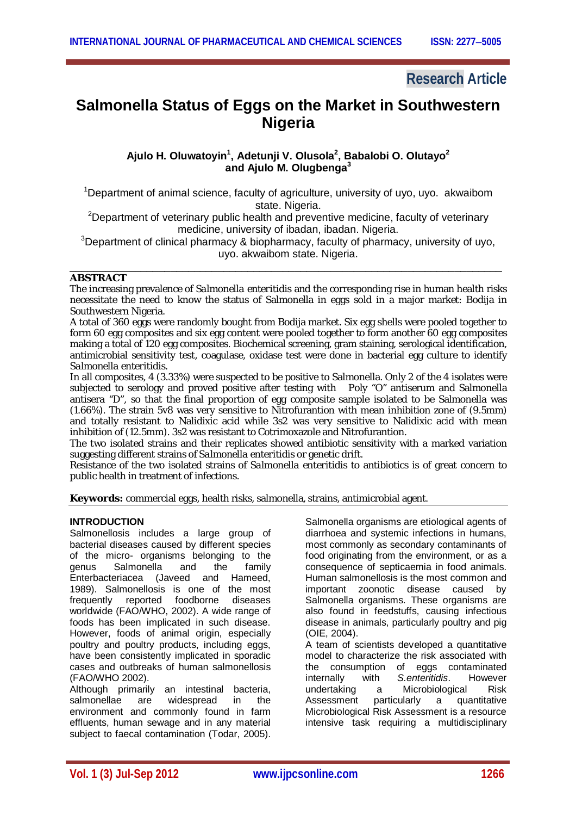## **Research Article**

# **Salmonella Status of Eggs on the Market in Southwestern Nigeria**

## **Ajulo H. Oluwatoyin<sup>1</sup> , Adetunji V. Olusola<sup>2</sup> , Babalobi O. Olutayo<sup>2</sup> and Ajulo M. Olugbenga<sup>3</sup>**

<sup>1</sup>Department of animal science, faculty of agriculture, university of uyo, uyo. akwaibom state. Nigeria.

<sup>2</sup>Department of veterinary public health and preventive medicine, faculty of veterinary medicine, university of ibadan, ibadan. Nigeria.

<sup>3</sup>Department of clinical pharmacy & biopharmacy, faculty of pharmacy, university of uyo, uyo. akwaibom state. Nigeria.

#### \_\_\_\_\_\_\_\_\_\_\_\_\_\_\_\_\_\_\_\_\_\_\_\_\_\_\_\_\_\_\_\_\_\_\_\_\_\_\_\_\_\_\_\_\_\_\_\_\_\_\_\_\_\_\_\_\_\_\_\_\_\_\_\_\_\_\_\_\_\_\_\_\_ **ABSTRACT**

The increasing prevalence of *Salmonella enteritidis* and the corresponding rise in human health risks necessitate the need to know the status of Salmonella in eggs sold in a major market: Bodija in Southwestern Nigeria.

A total of 360 eggs were randomly bought from Bodija market. Six egg shells were pooled together to form 60 egg composites and six egg content were pooled together to form another 60 egg composites making a total of 120 egg composites. Biochemical screening, gram staining, serological identification, antimicrobial sensitivity test, coagulase, oxidase test were done in bacterial egg culture to identify *Salmonella enteritidis*.

In all composites, 4 (3.33%) were suspected to be positive to Salmonella. Only 2 of the 4 isolates were subjected to serology and proved positive after testing with Poly "O" antiserum and Salmonella antisera "D", so that the final proportion of egg composite sample isolated to be Salmonella was (1.66%). The strain 5v8 was very sensitive to Nitrofurantion with mean inhibition zone of (9.5mm) and totally resistant to Nalidixic acid while 3s2 was very sensitive to Nalidixic acid with mean inhibition of (12.5mm). 3s2 was resistant to Cotrimoxazole and Nitrofurantion.

The two isolated strains and their replicates showed antibiotic sensitivity with a marked variation suggesting different strains of *Salmonella enteritidis* or genetic drift.

Resistance of the two isolated strains of *Salmonella enteritidis* to antibiotics is of great concern to public health in treatment of infections.

**Keywords:** commercial eggs, health risks, salmonella, strains, antimicrobial agent.

#### **INTRODUCTION**

Salmonellosis includes a large group of bacterial diseases caused by different species of the micro- organisms belonging to the<br>
qenus Salmonella and the family genus Salmonella and the family Enterbacteriacea (Javeed and Hameed, 1989). Salmonellosis is one of the most frequently reported foodborne diseases worldwide (FAO/WHO, 2002). A wide range of foods has been implicated in such disease. However, foods of animal origin, especially poultry and poultry products, including eggs, have been consistently implicated in sporadic cases and outbreaks of human salmonellosis (FAO/WHO 2002).

Although primarily an intestinal bacteria, salmonellae are widespread in the environment and commonly found in farm effluents, human sewage and in any material subject to faecal contamination (Todar, 2005). Salmonella organisms are etiological agents of diarrhoea and systemic infections in humans, most commonly as secondary contaminants of food originating from the environment, or as a consequence of septicaemia in food animals. Human salmonellosis is the most common and important zoonotic disease caused by Salmonella organisms. These organisms are also found in feedstuffs, causing infectious disease in animals, particularly poultry and pig (OIE, 2004).

A team of scientists developed a quantitative model to characterize the risk associated with the consumption of eggs contaminated internally with *S.enteritidis*. However undertaking a Microbiological Risk Assessment particularly a quantitative Microbiological Risk Assessment is a resource intensive task requiring a multidisciplinary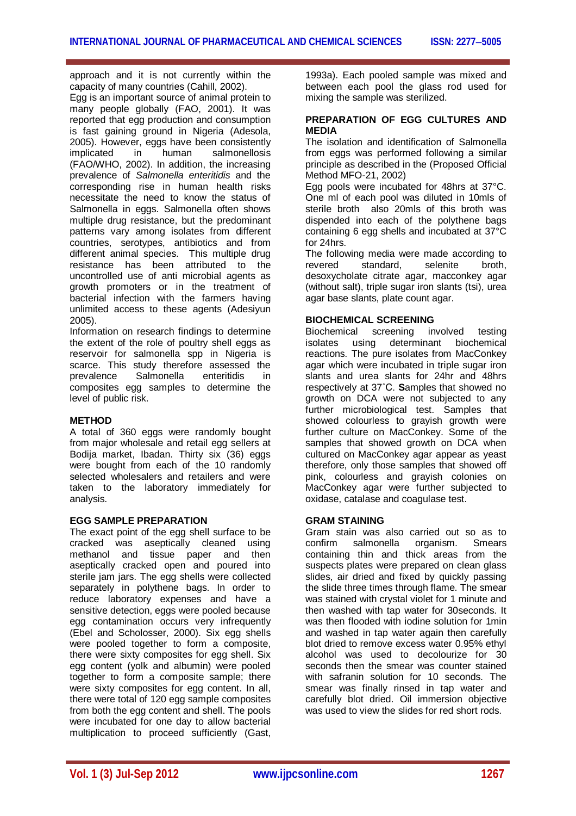approach and it is not currently within the capacity of many countries (Cahill, 2002).

Egg is an important source of animal protein to many people globally (FAO, 2001). It was reported that egg production and consumption is fast gaining ground in Nigeria (Adesola, 2005). However, eggs have been consistently<br>implicated in human salmonellosis in human salmonellosis (FAO/WHO, 2002). In addition, the increasing prevalence of *Salmonella enteritidis* and the corresponding rise in human health risks necessitate the need to know the status of Salmonella in eggs. Salmonella often shows multiple drug resistance, but the predominant patterns vary among isolates from different countries, serotypes, antibiotics and from different animal species. This multiple drug resistance has been attributed to the uncontrolled use of anti microbial agents as growth promoters or in the treatment of bacterial infection with the farmers having unlimited access to these agents (Adesiyun 2005).

Information on research findings to determine the extent of the role of poultry shell eggs as reservoir for salmonella spp in Nigeria is scarce. This study therefore assessed the prevalence Salmonella enteritidis in Salmonella enteritidis in composites egg samples to determine the level of public risk.

#### **METHOD**

A total of 360 eggs were randomly bought from major wholesale and retail egg sellers at Bodija market, Ibadan. Thirty six (36) eggs were bought from each of the 10 randomly selected wholesalers and retailers and were taken to the laboratory immediately for analysis.

#### **EGG SAMPLE PREPARATION**

The exact point of the egg shell surface to be cracked was aseptically cleaned using methanol and tissue paper and then aseptically cracked open and poured into sterile jam jars. The egg shells were collected separately in polythene bags. In order to reduce laboratory expenses and have a sensitive detection, eggs were pooled because egg contamination occurs very infrequently (Ebel and Scholosser, 2000). Six egg shells were pooled together to form a composite, there were sixty composites for egg shell. Six egg content (yolk and albumin) were pooled together to form a composite sample; there were sixty composites for egg content. In all, there were total of 120 egg sample composites from both the egg content and shell. The pools were incubated for one day to allow bacterial multiplication to proceed sufficiently (Gast,

1993a). Each pooled sample was mixed and between each pool the glass rod used for mixing the sample was sterilized.

#### **PREPARATION OF EGG CULTURES AND MEDIA**

The isolation and identification of Salmonella from eggs was performed following a similar principle as described in the (Proposed Official Method MFO-21, 2002)

Egg pools were incubated for 48hrs at 37°C. One ml of each pool was diluted in 10mls of sterile broth also 20mls of this broth was dispended into each of the polythene bags containing 6 egg shells and incubated at 37°C for 24hrs.

The following media were made according to revered standard selenite broth desoxycholate citrate agar, macconkey agar (without salt), triple sugar iron slants (tsi), urea agar base slants, plate count agar.

#### **BIOCHEMICAL SCREENING**

Biochemical screening involved testing isolates using determinant biochemical reactions. The pure isolates from MacConkey agar which were incubated in triple sugar iron slants and urea slants for 24hr and 48hrs respectively at 37˚C. **S**amples that showed no growth on DCA were not subjected to any further microbiological test. Samples that showed colourless to grayish growth were further culture on MacConkey. Some of the samples that showed growth on DCA when cultured on MacConkey agar appear as yeast therefore, only those samples that showed off pink, colourless and grayish colonies on MacConkey agar were further subjected to oxidase, catalase and coagulase test.

#### **GRAM STAINING**

Gram stain was also carried out so as to confirm salmonella organism. Smears containing thin and thick areas from the suspects plates were prepared on clean glass slides, air dried and fixed by quickly passing the slide three times through flame. The smear was stained with crystal violet for 1 minute and then washed with tap water for 30seconds. It was then flooded with iodine solution for 1min and washed in tap water again then carefully blot dried to remove excess water 0.95% ethyl alcohol was used to decolourize for 30 seconds then the smear was counter stained with safranin solution for 10 seconds. The smear was finally rinsed in tap water and carefully blot dried. Oil immersion objective was used to view the slides for red short rods.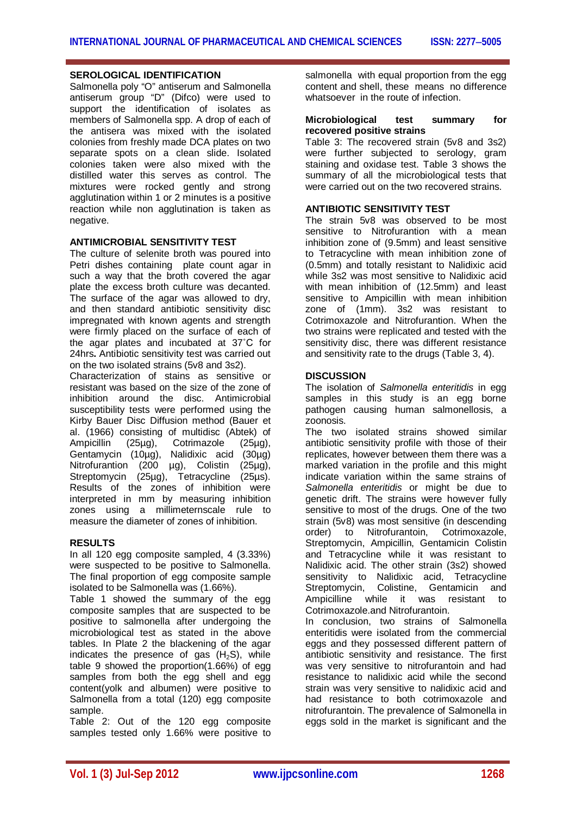## **SEROLOGICAL IDENTIFICATION**

Salmonella poly "O" antiserum and Salmonella antiserum group "D" (Difco) were used to support the identification of isolates as members of Salmonella spp. A drop of each of the antisera was mixed with the isolated colonies from freshly made DCA plates on two separate spots on a clean slide. Isolated colonies taken were also mixed with the distilled water this serves as control. The mixtures were rocked gently and strong agglutination within 1 or 2 minutes is a positive reaction while non agglutination is taken as negative.

#### **ANTIMICROBIAL SENSITIVITY TEST**

The culture of selenite broth was poured into Petri dishes containing plate count agar in such a way that the broth covered the agar plate the excess broth culture was decanted. The surface of the agar was allowed to dry, and then standard antibiotic sensitivity disc impregnated with known agents and strength were firmly placed on the surface of each of the agar plates and incubated at 37˚C for 24hrs**.** Antibiotic sensitivity test was carried out on the two isolated strains (5v8 and 3s2).

Characterization of stains as sensitive or resistant was based on the size of the zone of inhibition around the disc. Antimicrobial susceptibility tests were performed using the Kirby Bauer Disc Diffusion method (Bauer et al. (1966) consisting of multidisc (Abtek) of  $(25uq)$ , Cotrimazole  $(25uq)$ , Gentamycin (10µg), Nalidixic acid (30µg) Nitrofurantion (200 µg), Colistin (25µg), Streptomycin (25µg), Tetracycline (25µs). Results of the zones of inhibition were interpreted in mm by measuring inhibition zones using a millimeternscale rule to measure the diameter of zones of inhibition.

#### **RESULTS**

In all 120 egg composite sampled, 4 (3.33%) were suspected to be positive to Salmonella. The final proportion of egg composite sample isolated to be Salmonella was (1.66%).

Table 1 showed the summary of the egg composite samples that are suspected to be positive to salmonella after undergoing the microbiological test as stated in the above tables. In Plate 2 the blackening of the agar indicates the presence of gas  $(H_2S)$ , while table 9 showed the proportion(1.66%) of egg samples from both the egg shell and egg content(yolk and albumen) were positive to Salmonella from a total (120) egg composite sample.

Table 2: Out of the 120 egg composite samples tested only 1.66% were positive to salmonella with equal proportion from the egg content and shell, these means no difference whatsoever in the route of infection.

#### **Microbiological test summary for recovered positive strains**

Table 3: The recovered strain (5v8 and 3s2) were further subjected to serology, gram staining and oxidase test. Table 3 shows the summary of all the microbiological tests that were carried out on the two recovered strains.

## **ANTIBIOTIC SENSITIVITY TEST**

The strain 5v8 was observed to be most sensitive to Nitrofurantion with a mean inhibition zone of (9.5mm) and least sensitive to Tetracycline with mean inhibition zone of (0.5mm) and totally resistant to Nalidixic acid while 3s2 was most sensitive to Nalidixic acid with mean inhibition of (12.5mm) and least sensitive to Ampicillin with mean inhibition zone of (1mm). 3s2 was resistant to Cotrimoxazole and Nitrofurantion. When the two strains were replicated and tested with the sensitivity disc, there was different resistance and sensitivity rate to the drugs (Table 3, 4).

#### **DISCUSSION**

The isolation of *Salmonella enteritidis* in egg samples in this study is an egg borne pathogen causing human salmonellosis, a zoonosis.

The two isolated strains showed similar antibiotic sensitivity profile with those of their replicates, however between them there was a marked variation in the profile and this might indicate variation within the same strains of *Salmonella enteritidis* or might be due to genetic drift. The strains were however fully sensitive to most of the drugs. One of the two strain (5v8) was most sensitive (in descending order) to Nitrofurantoin, Cotrimoxazole, Streptomycin, Ampicillin, Gentamicin Colistin and Tetracycline while it was resistant to Nalidixic acid. The other strain (3s2) showed sensitivity to Nalidixic acid, Tetracycline Streptomycin, Colistine, Gentamicin and<br>Ampicilline while it was resistant to while it was resistant to Cotrimoxazole.and Nitrofurantoin.

In conclusion, two strains of Salmonella enteritidis were isolated from the commercial eggs and they possessed different pattern of antibiotic sensitivity and resistance. The first was very sensitive to nitrofurantoin and had resistance to nalidixic acid while the second strain was very sensitive to nalidixic acid and had resistance to both cotrimoxazole and nitrofurantoin. The prevalence of Salmonella in eggs sold in the market is significant and the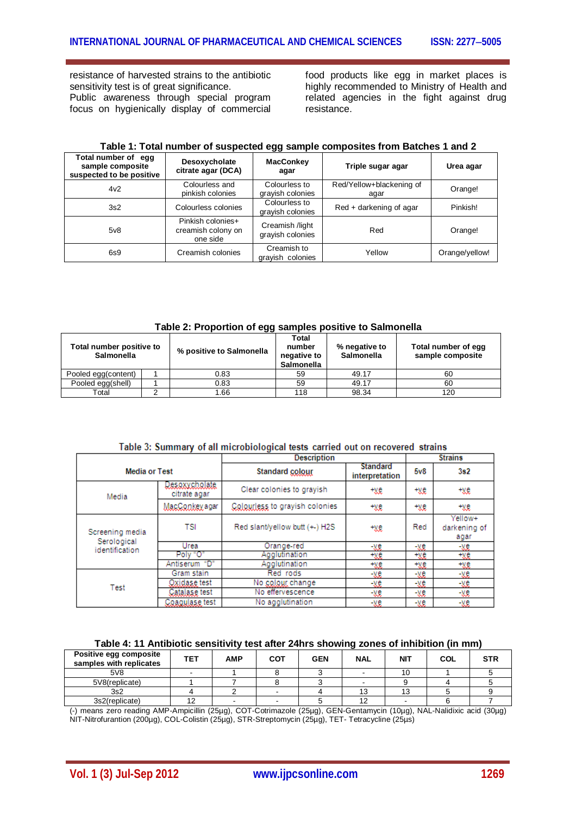resistance of harvested strains to the antibiotic sensitivity test is of great significance. Public awareness through special program focus on hygienically display of commercial

food products like egg in market places is highly recommended to Ministry of Health and related agencies in the fight against drug resistance.

| Total number of egg<br>sample composite<br>suspected to be positive | Desoxycholate<br>citrate agar (DCA)                 | <b>MacConkey</b><br>agar            | Triple sugar agar                | Urea agar      |  |
|---------------------------------------------------------------------|-----------------------------------------------------|-------------------------------------|----------------------------------|----------------|--|
| 4v2                                                                 | Colourless and<br>pinkish colonies                  | Colourless to<br>grayish colonies   | Red/Yellow+blackening of<br>agar | Orange!        |  |
| 3s2                                                                 | Colourless colonies                                 | Colourless to<br>grayish colonies   | Red + darkening of agar          | Pinkish!       |  |
| 5v8                                                                 | Pinkish colonies+<br>creamish colony on<br>one side | Creamish /light<br>gravish colonies | Red                              | Orange!        |  |
| 6s9                                                                 | Creamish colonies                                   | Creamish to<br>grayish colonies     | Yellow                           | Orange/yellow! |  |

### **Table 1: Total number of suspected egg sample composites from Batches 1 and 2**

**Table 2: Proportion of egg samples positive to Salmonella**

| Total number positive to<br><b>Salmonella</b> |  | % positive to Salmonella | Total<br>% negative to<br>number<br><b>Salmonella</b><br>negative to<br><b>Salmonella</b> |       | Total number of egg<br>sample composite |  |
|-----------------------------------------------|--|--------------------------|-------------------------------------------------------------------------------------------|-------|-----------------------------------------|--|
| Pooled egg(content)                           |  | 0.83                     | 59                                                                                        | 49.17 | 60                                      |  |
| Pooled egg(shell)                             |  | 0.83                     | 59                                                                                        | 49.17 | 60                                      |  |
| Total                                         |  | .66                      | 118                                                                                       | 98.34 | 120                                     |  |

#### Table 3: Summary of all microbiological tests carried out on recovered strains

|                                                  |                               | <b>Description</b>             | <b>Strains</b>             |     |                                 |
|--------------------------------------------------|-------------------------------|--------------------------------|----------------------------|-----|---------------------------------|
| <b>Media or Test</b>                             |                               | Standard colour                | Standard<br>interpretation | 5v3 | 3s2                             |
| Media                                            | Qeeaxxchalate<br>citrate agar | Clear colonies to grayish      | +ye                        | +ye | +ye                             |
|                                                  | MagGonkey.agar                | Coloutless to grayish colonies | +ye                        | +ye | +ye                             |
| Screening media<br>Serological<br>identification | TSI                           | Red slant/yellow butt (+) H2S  | +ye                        | Red | Yellow+<br>darkening of<br>agar |
|                                                  | Urea                          | Orange-red                     | -ve                        | -ve | -ve                             |
|                                                  | Poly "O"                      | Agglutination                  | +ve                        | +ye | +ye                             |
|                                                  | Antiserum "D"                 | Agglutination                  | +ye                        | +ye | +ve                             |
| Test                                             | Gram stain                    | Red rods                       | -ve                        | -ve | -XX                             |
|                                                  | Oxidase test                  | No <u>colour</u> change        | -ve                        | -ve | -ve                             |
|                                                  | Catalase test                 | No effervescence               | -ve                        | -ye | -ve                             |
|                                                  | Coaquiase test                | No agglutination               | -ve                        | -XX | -XX                             |

#### **Table 4: 11 Antibiotic sensitivity test after 24hrs showing zones of inhibition (in mm)**

| Positive egg composite<br>samples with replicates | <b>TET</b>            | <b>AMP</b> | COT | <b>GEN</b> | <b>NAL</b> | <b>NIT</b> | COL | <b>STR</b> |
|---------------------------------------------------|-----------------------|------------|-----|------------|------------|------------|-----|------------|
| 5V8                                               |                       |            |     |            |            | ιv         |     |            |
| 5V8(replicate)                                    |                       |            |     |            |            |            |     |            |
| 3s2                                               |                       |            |     |            | 13         | ر.,        |     |            |
| 3s2(replicate)                                    | $\overline{ }$<br>. . |            |     |            | ៱          |            |     |            |

(-) means zero reading AMP-Ampicillin (25µg), COT-Cotrimazole (25µg), GEN-Gentamycin (10µg), NAL-Nalidixic acid (30µg) NIT-Nitrofurantion (200µg), COL-Colistin (25µg), STR-Streptomycin (25µg), TET- Tetracycline (25µs)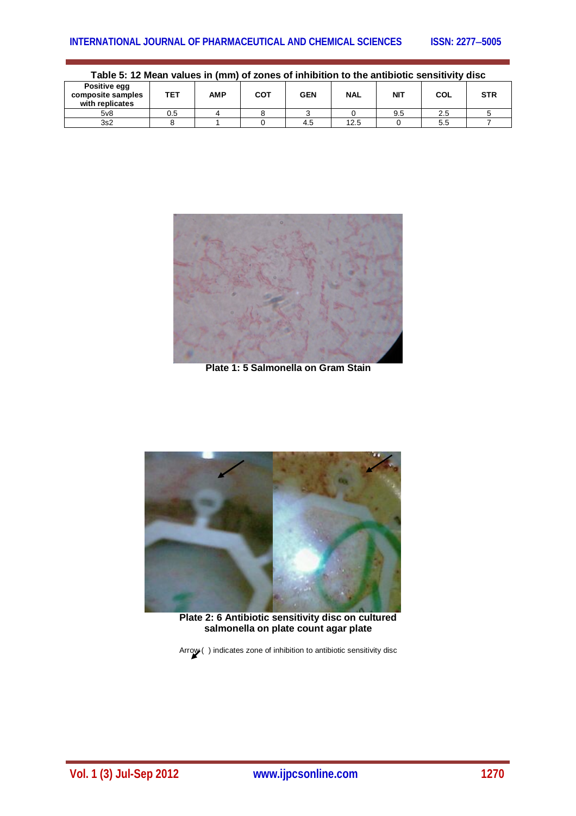## **INTERNATIONAL JOURNAL OF PHARMACEUTICAL AND CHEMICAL SCIENCES ISSN: 2277-5005**

| Table 5: 12 Mean values in (mm) of zones of inhibition to the antibiotic sensitivity disc |     |     |            |            |            |            |     |            |
|-------------------------------------------------------------------------------------------|-----|-----|------------|------------|------------|------------|-----|------------|
| Positive egg<br>composite samples<br>with replicates                                      | TET | AMP | <b>COT</b> | <b>GEN</b> | <b>NAL</b> | <b>NIT</b> | COL | <b>STR</b> |
| 5v8                                                                                       | 0.5 |     |            |            |            | 9.5        | 2.5 |            |
| 3s2                                                                                       |     |     |            | 4.5        | 12.5       |            | 5.5 |            |



**Plate 1: 5 Salmonella on Gram Stain**



**Plate 2: 6 Antibiotic sensitivity disc on cultured salmonella on plate count agar plate**

Arrow ( ) indicates zone of inhibition to antibiotic sensitivity disc